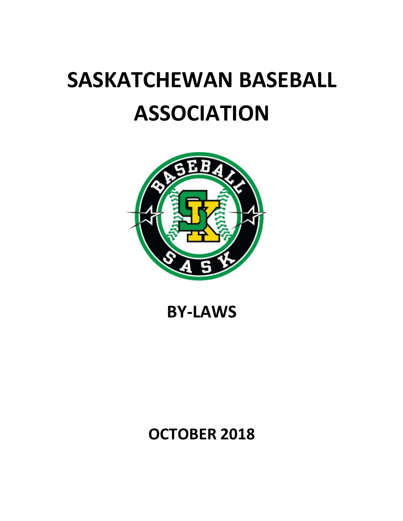# **SASKATCHEWAN BASEBALL ASSOCIATION**



# **BY-LAWS**

# **OCTOBER 2018**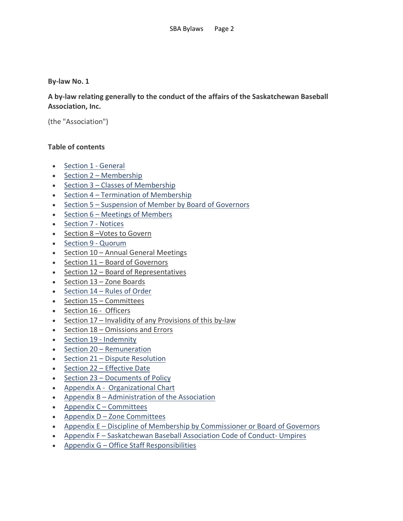# **By-law No. 1**

**A by-law relating generally to the conduct of the affairs of the Saskatchewan Baseball Association, Inc.**

(the "Association")

# **Table of contents**

- Section 1 General
- Section 2 Membership
- Section 3 Classes of Membership
- Section 4 Termination of Membership
- Section 5 Suspension of Member by Board of Governors
- Section 6 Meetings of Members
- Section 7 Notices
- Section 8 –Votes to Govern
- Section 9 Quorum
- Section 10 Annual General Meetings
- Section 11 Board of Governors
- Section 12 Board of Representatives
- Section 13 Zone Boards
- Section 14 Rules of Order
- Section 15 Committees
- Section 16 Officers
- Section 17 Invalidity of any Provisions of this by-law
- Section 18 Omissions and Errors
- Section 19 Indemnity
- Section 20 Remuneration
- Section 21 Dispute Resolution
- Section 22 Effective Date
- Section 23 Documents of Policy
- Appendix A Organizational Chart
- Appendix B Administration of the Association
- Appendix C Committees
- Appendix D Zone Committees
- Appendix E Discipline of Membership by Commissioner or Board of Governors
- Appendix F Saskatchewan Baseball Association Code of Conduct- Umpires
- Appendix G Office Staff Responsibilities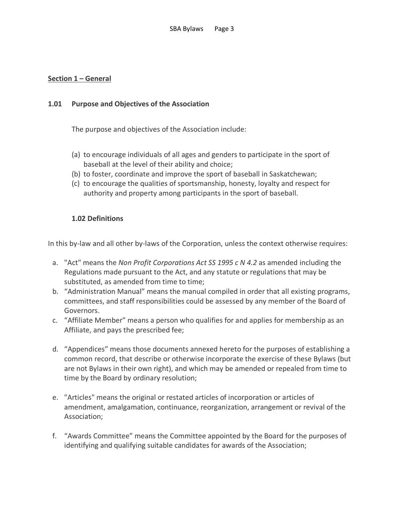# **Section 1 – General**

# **1.01 Purpose and Objectives of the Association**

The purpose and objectives of the Association include:

- (a) to encourage individuals of all ages and genders to participate in the sport of baseball at the level of their ability and choice;
- (b) to foster, coordinate and improve the sport of baseball in Saskatchewan;
- (c) to encourage the qualities of sportsmanship, honesty, loyalty and respect for authority and property among participants in the sport of baseball.

# **1.02 Definitions**

In this by-law and all other by-laws of the Corporation, unless the context otherwise requires:

- a. "Act" means the *Non Profit Corporations Act SS 1995 c N 4.2* as amended including the Regulations made pursuant to the Act, and any statute or regulations that may be substituted, as amended from time to time;
- b. "Administration Manual" means the manual compiled in order that all existing programs, committees, and staff responsibilities could be assessed by any member of the Board of Governors.
- c. "Affiliate Member" means a person who qualifies for and applies for membership as an Affiliate, and pays the prescribed fee;
- d. "Appendices" means those documents annexed hereto for the purposes of establishing a common record, that describe or otherwise incorporate the exercise of these Bylaws (but are not Bylaws in their own right), and which may be amended or repealed from time to time by the Board by ordinary resolution;
- e. "Articles" means the original or restated articles of incorporation or articles of amendment, amalgamation, continuance, reorganization, arrangement or revival of the Association;
- f. "Awards Committee" means the Committee appointed by the Board for the purposes of identifying and qualifying suitable candidates for awards of the Association;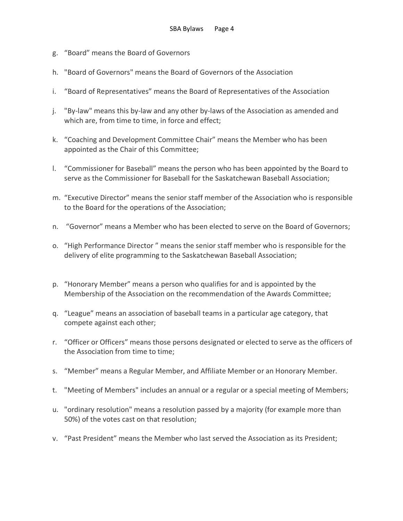- g. "Board" means the Board of Governors
- h. "Board of Governors" means the Board of Governors of the Association
- i. "Board of Representatives" means the Board of Representatives of the Association
- j. "By-law" means this by-law and any other by-laws of the Association as amended and which are, from time to time, in force and effect;
- k. "Coaching and Development Committee Chair" means the Member who has been appointed as the Chair of this Committee;
- l. "Commissioner for Baseball" means the person who has been appointed by the Board to serve as the Commissioner for Baseball for the Saskatchewan Baseball Association;
- m. "Executive Director" means the senior staff member of the Association who is responsible to the Board for the operations of the Association;
- n. "Governor" means a Member who has been elected to serve on the Board of Governors;
- o. "High Performance Director " means the senior staff member who is responsible for the delivery of elite programming to the Saskatchewan Baseball Association;
- p. "Honorary Member" means a person who qualifies for and is appointed by the Membership of the Association on the recommendation of the Awards Committee;
- q. "League" means an association of baseball teams in a particular age category, that compete against each other;
- r. "Officer or Officers" means those persons designated or elected to serve as the officers of the Association from time to time;
- s. "Member" means a Regular Member, and Affiliate Member or an Honorary Member.
- t. "Meeting of Members" includes an annual or a regular or a special meeting of Members;
- u. "ordinary resolution" means a resolution passed by a majority (for example more than 50%) of the votes cast on that resolution;
- v. "Past President" means the Member who last served the Association as its President;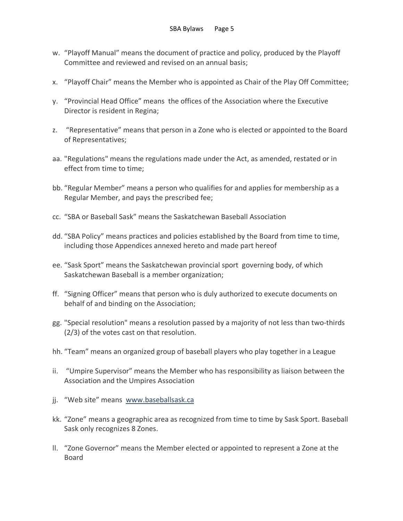- w. "Playoff Manual" means the document of practice and policy, produced by the Playoff Committee and reviewed and revised on an annual basis;
- x. "Playoff Chair" means the Member who is appointed as Chair of the Play Off Committee;
- y. "Provincial Head Office" means the offices of the Association where the Executive Director is resident in Regina;
- z. "Representative" means that person in a Zone who is elected or appointed to the Board of Representatives;
- aa. "Regulations" means the regulations made under the Act, as amended, restated or in effect from time to time;
- bb. "Regular Member" means a person who qualifies for and applies for membership as a Regular Member, and pays the prescribed fee;
- cc. "SBA or Baseball Sask" means the Saskatchewan Baseball Association
- dd. "SBA Policy" means practices and policies established by the Board from time to time, including those Appendices annexed hereto and made part hereof
- ee. "Sask Sport" means the Saskatchewan provincial sport governing body, of which Saskatchewan Baseball is a member organization;
- ff. "Signing Officer" means that person who is duly authorized to execute documents on behalf of and binding on the Association;
- gg. "Special resolution" means a resolution passed by a majority of not less than two-thirds (2/3) of the votes cast on that resolution.
- hh. "Team" means an organized group of baseball players who play together in a League
- ii. "Umpire Supervisor" means the Member who has responsibility as liaison between the Association and the Umpires Association
- jj. "Web site" means www.baseballsask.ca
- kk. "Zone" means a geographic area as recognized from time to time by Sask Sport. Baseball Sask only recognizes 8 Zones.
- ll. "Zone Governor" means the Member elected or appointed to represent a Zone at the Board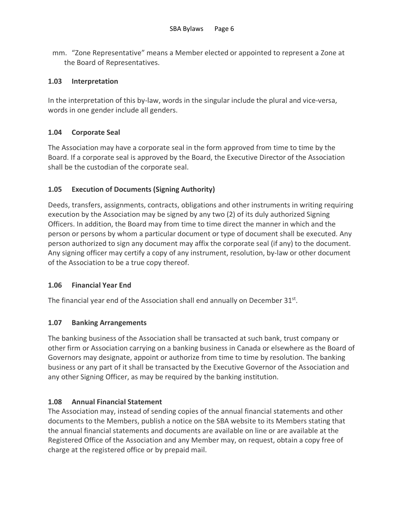mm. "Zone Representative" means a Member elected or appointed to represent a Zone at the Board of Representatives.

# **1.03 Interpretation**

In the interpretation of this by-law, words in the singular include the plural and vice-versa, words in one gender include all genders.

# **1.04 Corporate Seal**

The Association may have a corporate seal in the form approved from time to time by the Board. If a corporate seal is approved by the Board, the Executive Director of the Association shall be the custodian of the corporate seal.

# **1.05 Execution of Documents (Signing Authority)**

Deeds, transfers, assignments, contracts, obligations and other instruments in writing requiring execution by the Association may be signed by any two (2) of its duly authorized Signing Officers. In addition, the Board may from time to time direct the manner in which and the person or persons by whom a particular document or type of document shall be executed. Any person authorized to sign any document may affix the corporate seal (if any) to the document. Any signing officer may certify a copy of any instrument, resolution, by-law or other document of the Association to be a true copy thereof.

# **1.06 Financial Year End**

The financial year end of the Association shall end annually on December 31st.

# **1.07 Banking Arrangements**

The banking business of the Association shall be transacted at such bank, trust company or other firm or Association carrying on a banking business in Canada or elsewhere as the Board of Governors may designate, appoint or authorize from time to time by resolution. The banking business or any part of it shall be transacted by the Executive Governor of the Association and any other Signing Officer, as may be required by the banking institution.

# **1.08 Annual Financial Statement**

The Association may, instead of sending copies of the annual financial statements and other documents to the Members, publish a notice on the SBA website to its Members stating that the annual financial statements and documents are available on line or are available at the Registered Office of the Association and any Member may, on request, obtain a copy free of charge at the registered office or by prepaid mail.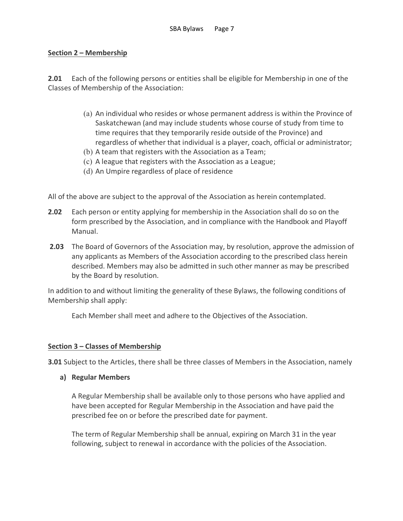# **Section 2 – Membership**

**2.01** Each of the following persons or entities shall be eligible for Membership in one of the Classes of Membership of the Association:

- (a) An individual who resides or whose permanent address is within the Province of Saskatchewan (and may include students whose course of study from time to time requires that they temporarily reside outside of the Province) and regardless of whether that individual is a player, coach, official or administrator;
- (b) A team that registers with the Association as a Team;
- (c) A league that registers with the Association as a League;
- (d) An Umpire regardless of place of residence

All of the above are subject to the approval of the Association as herein contemplated.

- **2.02** Each person or entity applying for membership in the Association shall do so on the form prescribed by the Association, and in compliance with the Handbook and Playoff Manual.
- **2.03** The Board of Governors of the Association may, by resolution, approve the admission of any applicants as Members of the Association according to the prescribed class herein described. Members may also be admitted in such other manner as may be prescribed by the Board by resolution.

In addition to and without limiting the generality of these Bylaws, the following conditions of Membership shall apply:

Each Member shall meet and adhere to the Objectives of the Association.

# **Section 3 – Classes of Membership**

**3.01** Subject to the Articles, there shall be three classes of Members in the Association, namely

**a) Regular Members**

A Regular Membership shall be available only to those persons who have applied and have been accepted for Regular Membership in the Association and have paid the prescribed fee on or before the prescribed date for payment.

The term of Regular Membership shall be annual, expiring on March 31 in the year following, subject to renewal in accordance with the policies of the Association.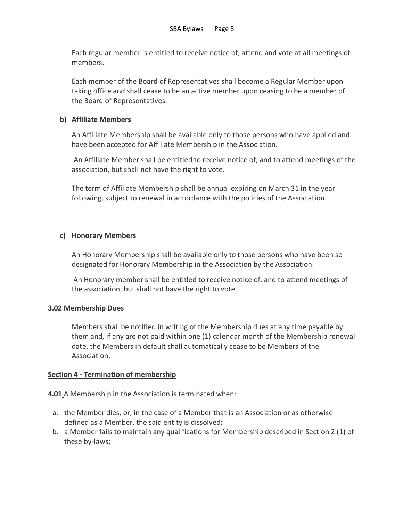Each regular member is entitled to receive notice of, attend and vote at all meetings of members.

Each member of the Board of Representatives shall become a Regular Member upon taking office and shall cease to be an active member upon ceasing to be a member of the Board of Representatives.

# **b) Affiliate Members**

An Affiliate Membership shall be available only to those persons who have applied and have been accepted for Affiliate Membership in the Association.

An Affiliate Member shall be entitled to receive notice of, and to attend meetings of the association, but shall not have the right to vote.

The term of Affiliate Membership shall be annual expiring on March 31 in the year following, subject to renewal in accordance with the policies of the Association.

# **c) Honorary Members**

An Honorary Membership shall be available only to those persons who have been so designated for Honorary Membership in the Association by the Association.

An Honorary member shall be entitled to receive notice of, and to attend meetings of the association, but shall not have the right to vote.

# **3.02 Membership Dues**

Members shall be notified in writing of the Membership dues at any time payable by them and, if any are not paid within one (1) calendar month of the Membership renewal date, the Members in default shall automatically cease to be Members of the Association.

# **Section 4 - Termination of membership**

**4.01** A Membership in the Association is terminated when:

- a. the Member dies, or, in the case of a Member that is an Association or as otherwise defined as a Member, the said entity is dissolved;
- b. a Member fails to maintain any qualifications for Membership described in Section 2 (1) of these by-laws;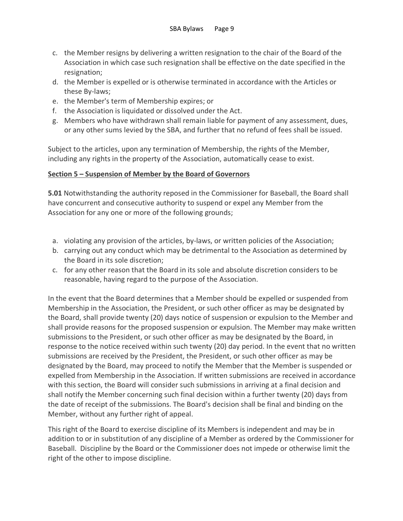- c. the Member resigns by delivering a written resignation to the chair of the Board of the Association in which case such resignation shall be effective on the date specified in the resignation;
- d. the Member is expelled or is otherwise terminated in accordance with the Articles or these By-laws;
- e. the Member's term of Membership expires; or
- f. the Association is liquidated or dissolved under the Act.
- g. Members who have withdrawn shall remain liable for payment of any assessment, dues, or any other sums levied by the SBA, and further that no refund of fees shall be issued.

Subject to the articles, upon any termination of Membership, the rights of the Member, including any rights in the property of the Association, automatically cease to exist.

# **Section 5 – Suspension of Member by the Board of Governors**

**5.01** Notwithstanding the authority reposed in the Commissioner for Baseball, the Board shall have concurrent and consecutive authority to suspend or expel any Member from the Association for any one or more of the following grounds;

- a. violating any provision of the articles, by-laws, or written policies of the Association;
- b. carrying out any conduct which may be detrimental to the Association as determined by the Board in its sole discretion;
- c. for any other reason that the Board in its sole and absolute discretion considers to be reasonable, having regard to the purpose of the Association.

In the event that the Board determines that a Member should be expelled or suspended from Membership in the Association, the President, or such other officer as may be designated by the Board, shall provide twenty (20) days notice of suspension or expulsion to the Member and shall provide reasons for the proposed suspension or expulsion. The Member may make written submissions to the President, or such other officer as may be designated by the Board, in response to the notice received within such twenty (20) day period. In the event that no written submissions are received by the President, the President, or such other officer as may be designated by the Board, may proceed to notify the Member that the Member is suspended or expelled from Membership in the Association. If written submissions are received in accordance with this section, the Board will consider such submissions in arriving at a final decision and shall notify the Member concerning such final decision within a further twenty (20) days from the date of receipt of the submissions. The Board's decision shall be final and binding on the Member, without any further right of appeal.

This right of the Board to exercise discipline of its Members is independent and may be in addition to or in substitution of any discipline of a Member as ordered by the Commissioner for Baseball. Discipline by the Board or the Commissioner does not impede or otherwise limit the right of the other to impose discipline.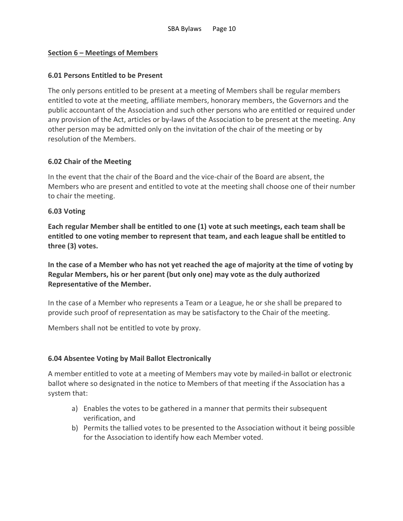# **Section 6 – Meetings of Members**

# **6.01 Persons Entitled to be Present**

The only persons entitled to be present at a meeting of Members shall be regular members entitled to vote at the meeting, affiliate members, honorary members, the Governors and the public accountant of the Association and such other persons who are entitled or required under any provision of the Act, articles or by-laws of the Association to be present at the meeting. Any other person may be admitted only on the invitation of the chair of the meeting or by resolution of the Members.

# **6.02 Chair of the Meeting**

In the event that the chair of the Board and the vice-chair of the Board are absent, the Members who are present and entitled to vote at the meeting shall choose one of their number to chair the meeting.

# **6.03 Voting**

**Each regular Member shall be entitled to one (1) vote at such meetings, each team shall be entitled to one voting member to represent that team, and each league shall be entitled to three (3) votes.**

**In the case of a Member who has not yet reached the age of majority at the time of voting by Regular Members, his or her parent (but only one) may vote as the duly authorized Representative of the Member.** 

In the case of a Member who represents a Team or a League, he or she shall be prepared to provide such proof of representation as may be satisfactory to the Chair of the meeting.

Members shall not be entitled to vote by proxy.

# **6.04 Absentee Voting by Mail Ballot Electronically**

A member entitled to vote at a meeting of Members may vote by mailed-in ballot or electronic ballot where so designated in the notice to Members of that meeting if the Association has a system that:

- a) Enables the votes to be gathered in a manner that permits their subsequent verification, and
- b) Permits the tallied votes to be presented to the Association without it being possible for the Association to identify how each Member voted.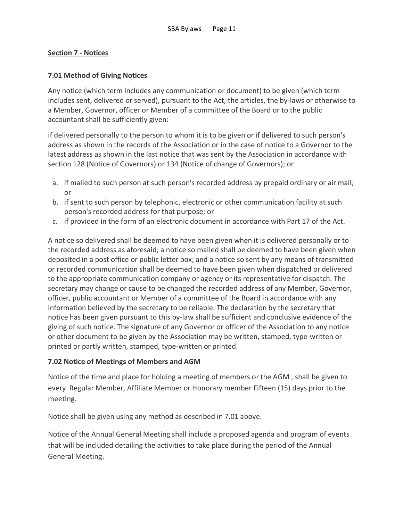# **Section 7 - Notices**

# **7.01 Method of Giving Notices**

Any notice (which term includes any communication or document) to be given (which term includes sent, delivered or served), pursuant to the Act, the articles, the by-laws or otherwise to a Member, Governor, officer or Member of a committee of the Board or to the public accountant shall be sufficiently given:

if delivered personally to the person to whom it is to be given or if delivered to such person's address as shown in the records of the Association or in the case of notice to a Governor to the latest address as shown in the last notice that was sent by the Association in accordance with section 128 (Notice of Governors) or 134 (Notice of change of Governors); or

- a. if mailed to such person at such person's recorded address by prepaid ordinary or air mail; or
- b. if sent to such person by telephonic, electronic or other communication facility at such person's recorded address for that purpose; or
- c. if provided in the form of an electronic document in accordance with Part 17 of the Act.

A notice so delivered shall be deemed to have been given when it is delivered personally or to the recorded address as aforesaid; a notice so mailed shall be deemed to have been given when deposited in a post office or public letter box; and a notice so sent by any means of transmitted or recorded communication shall be deemed to have been given when dispatched or delivered to the appropriate communication company or agency or its representative for dispatch. The secretary may change or cause to be changed the recorded address of any Member, Governor, officer, public accountant or Member of a committee of the Board in accordance with any information believed by the secretary to be reliable. The declaration by the secretary that notice has been given pursuant to this by-law shall be sufficient and conclusive evidence of the giving of such notice. The signature of any Governor or officer of the Association to any notice or other document to be given by the Association may be written, stamped, type-written or printed or partly written, stamped, type-written or printed.

# **7.02 Notice of Meetings of Members and AGM**

Notice of the time and place for holding a meeting of members or the AGM , shall be given to every Regular Member, Affiliate Member or Honorary member Fifteen (15) days prior to the meeting.

Notice shall be given using any method as described in 7.01 above.

Notice of the Annual General Meeting shall include a proposed agenda and program of events that will be included detailing the activities to take place during the period of the Annual General Meeting.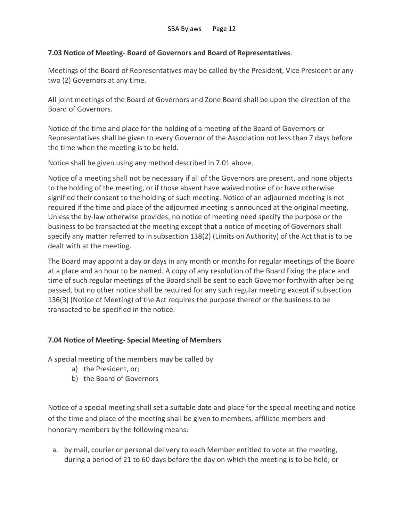# **7.03 Notice of Meeting- Board of Governors and Board of Representatives**.

Meetings of the Board of Representatives may be called by the President, Vice President or any two (2) Governors at any time.

All joint meetings of the Board of Governors and Zone Board shall be upon the direction of the Board of Governors.

Notice of the time and place for the holding of a meeting of the Board of Governors or Representatives shall be given to every Governor of the Association not less than 7 days before the time when the meeting is to be held.

Notice shall be given using any method described in 7.01 above.

Notice of a meeting shall not be necessary if all of the Governors are present, and none objects to the holding of the meeting, or if those absent have waived notice of or have otherwise signified their consent to the holding of such meeting. Notice of an adjourned meeting is not required if the time and place of the adjourned meeting is announced at the original meeting. Unless the by-law otherwise provides, no notice of meeting need specify the purpose or the business to be transacted at the meeting except that a notice of meeting of Governors shall specify any matter referred to in subsection 138(2) (Limits on Authority) of the Act that is to be dealt with at the meeting.

The Board may appoint a day or days in any month or months for regular meetings of the Board at a place and an hour to be named. A copy of any resolution of the Board fixing the place and time of such regular meetings of the Board shall be sent to each Governor forthwith after being passed, but no other notice shall be required for any such regular meeting except if subsection 136(3) (Notice of Meeting) of the Act requires the purpose thereof or the business to be transacted to be specified in the notice.

# **7.04 Notice of Meeting- Special Meeting of Members**

A special meeting of the members may be called by

- a) the President, or;
- b) the Board of Governors

Notice of a special meeting shall set a suitable date and place for the special meeting and notice of the time and place of the meeting shall be given to members, affiliate members and honorary members by the following means:

a. by mail, courier or personal delivery to each Member entitled to vote at the meeting, during a period of 21 to 60 days before the day on which the meeting is to be held; or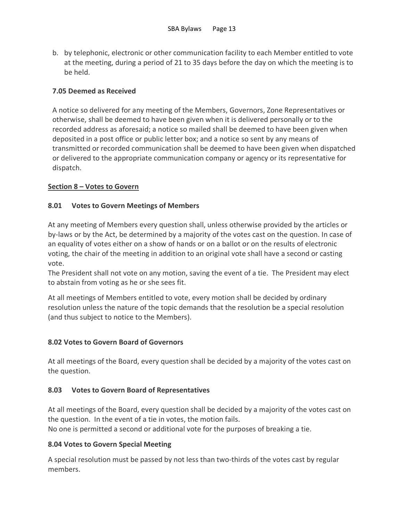b. by telephonic, electronic or other communication facility to each Member entitled to vote at the meeting, during a period of 21 to 35 days before the day on which the meeting is to be held.

# **7.05 Deemed as Received**

A notice so delivered for any meeting of the Members, Governors, Zone Representatives or otherwise, shall be deemed to have been given when it is delivered personally or to the recorded address as aforesaid; a notice so mailed shall be deemed to have been given when deposited in a post office or public letter box; and a notice so sent by any means of transmitted or recorded communication shall be deemed to have been given when dispatched or delivered to the appropriate communication company or agency or its representative for dispatch.

# **Section 8 – Votes to Govern**

# **8.01 Votes to Govern Meetings of Members**

At any meeting of Members every question shall, unless otherwise provided by the articles or by-laws or by the Act, be determined by a majority of the votes cast on the question. In case of an equality of votes either on a show of hands or on a ballot or on the results of electronic voting, the chair of the meeting in addition to an original vote shall have a second or casting vote.

The President shall not vote on any motion, saving the event of a tie. The President may elect to abstain from voting as he or she sees fit.

At all meetings of Members entitled to vote, every motion shall be decided by ordinary resolution unless the nature of the topic demands that the resolution be a special resolution (and thus subject to notice to the Members).

# **8.02 Votes to Govern Board of Governors**

At all meetings of the Board, every question shall be decided by a majority of the votes cast on the question.

# **8.03 Votes to Govern Board of Representatives**

At all meetings of the Board, every question shall be decided by a majority of the votes cast on the question. In the event of a tie in votes, the motion fails.

No one is permitted a second or additional vote for the purposes of breaking a tie.

# **8.04 Votes to Govern Special Meeting**

A special resolution must be passed by not less than two-thirds of the votes cast by regular members.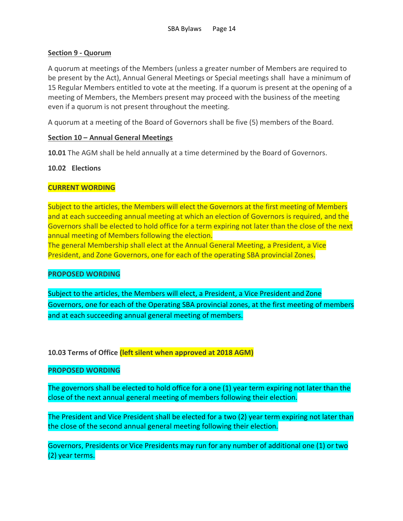# **Section 9 - Quorum**

A quorum at meetings of the Members (unless a greater number of Members are required to be present by the Act), Annual General Meetings or Special meetings shall have a minimum of 15 Regular Members entitled to vote at the meeting. If a quorum is present at the opening of a meeting of Members, the Members present may proceed with the business of the meeting even if a quorum is not present throughout the meeting.

A quorum at a meeting of the Board of Governors shall be five (5) members of the Board.

# **Section 10 – Annual General Meetings**

**10.01** The AGM shall be held annually at a time determined by the Board of Governors.

# **10.02 Elections**

# **CURRENT WORDING**

Subject to the articles, the Members will elect the Governors at the first meeting of Members and at each succeeding annual meeting at which an election of Governors is required, and the Governors shall be elected to hold office for a term expiring not later than the close of the next annual meeting of Members following the election.

The general Membership shall elect at the Annual General Meeting, a President, a Vice President, and Zone Governors, one for each of the operating SBA provincial Zones.

# **PROPOSED WORDING**

Subject to the articles, the Members will elect, a President, a Vice President and Zone Governors, one for each of the Operating SBA provincial zones, at the first meeting of members and at each succeeding annual general meeting of members.

**10.03 Terms of Office (left silent when approved at 2018 AGM)**

# **PROPOSED WORDING**

The governors shall be elected to hold office for a one (1) year term expiring not later than the close of the next annual general meeting of members following their election.

The President and Vice President shall be elected for a two (2) year term expiring not later than the close of the second annual general meeting following their election.

Governors, Presidents or Vice Presidents may run for any number of additional one (1) or two (2) year terms.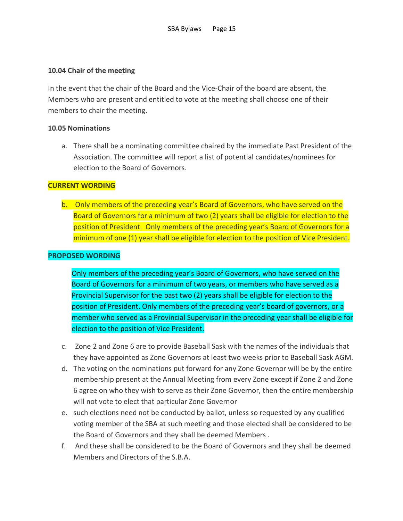# **10.04 Chair of the meeting**

In the event that the chair of the Board and the Vice-Chair of the board are absent, the Members who are present and entitled to vote at the meeting shall choose one of their members to chair the meeting.

# **10.05 Nominations**

a. There shall be a nominating committee chaired by the immediate Past President of the Association. The committee will report a list of potential candidates/nominees for election to the Board of Governors.

# **CURRENT WORDING**

b. Only members of the preceding year's Board of Governors, who have served on the Board of Governors for a minimum of two (2) years shall be eligible for election to the position of President. Only members of the preceding year's Board of Governors for a minimum of one (1) year shall be eligible for election to the position of Vice President.

# **PROPOSED WORDING**

Only members of the preceding year's Board of Governors, who have served on the Board of Governors for a minimum of two years, or members who have served as a Provincial Supervisor for the past two (2) years shall be eligible for election to the position of President. Only members of the preceding year's board of governors, or a member who served as a Provincial Supervisor in the preceding year shall be eligible for election to the position of Vice President.

- c. Zone 2 and Zone 6 are to provide Baseball Sask with the names of the individuals that they have appointed as Zone Governors at least two weeks prior to Baseball Sask AGM.
- d. The voting on the nominations put forward for any Zone Governor will be by the entire membership present at the Annual Meeting from every Zone except if Zone 2 and Zone 6 agree on who they wish to serve as their Zone Governor, then the entire membership will not vote to elect that particular Zone Governor
- e. such elections need not be conducted by ballot, unless so requested by any qualified voting member of the SBA at such meeting and those elected shall be considered to be the Board of Governors and they shall be deemed Members .
- f. And these shall be considered to be the Board of Governors and they shall be deemed Members and Directors of the S.B.A.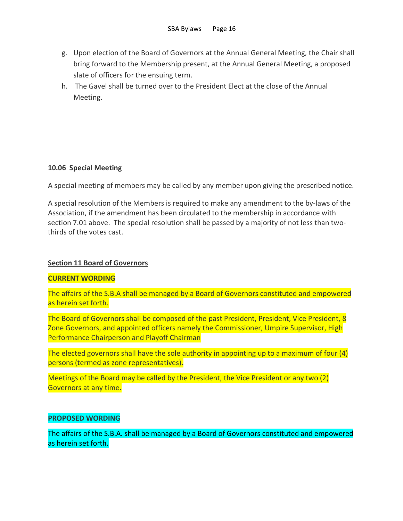- g. Upon election of the Board of Governors at the Annual General Meeting, the Chair shall bring forward to the Membership present, at the Annual General Meeting, a proposed slate of officers for the ensuing term.
- h. The Gavel shall be turned over to the President Elect at the close of the Annual Meeting.

# **10.06 Special Meeting**

A special meeting of members may be called by any member upon giving the prescribed notice.

A special resolution of the Members is required to make any amendment to the by-laws of the Association, if the amendment has been circulated to the membership in accordance with section 7.01 above. The special resolution shall be passed by a majority of not less than twothirds of the votes cast.

# **Section 11 Board of Governors**

#### **CURRENT WORDING**

The affairs of the S.B.A shall be managed by a Board of Governors constituted and empowered as herein set forth.

The Board of Governors shall be composed of the past President, President, Vice President, 8 Zone Governors, and appointed officers namely the Commissioner, Umpire Supervisor, High Performance Chairperson and Playoff Chairman

The elected governors shall have the sole authority in appointing up to a maximum of four (4) persons (termed as zone representatives).

Meetings of the Board may be called by the President, the Vice President or any two (2) Governors at any time.

# **PROPOSED WORDING**

The affairs of the S.B.A. shall be managed by a Board of Governors constituted and empowered as herein set forth.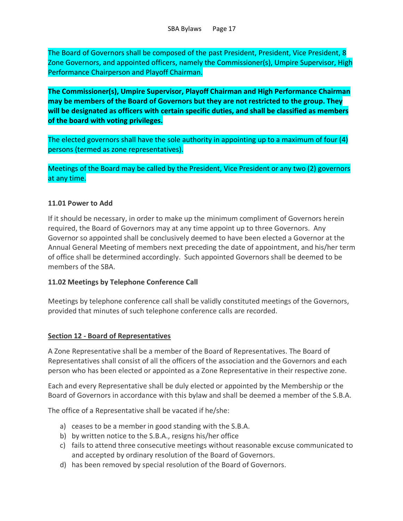The Board of Governors shall be composed of the past President, President, Vice President, 8 Zone Governors, and appointed officers, namely the Commissioner(s), Umpire Supervisor, High Performance Chairperson and Playoff Chairman.

**The Commissioner(s), Umpire Supervisor, Playoff Chairman and High Performance Chairman may be members of the Board of Governors but they are not restricted to the group. They will be designated as officers with certain specific duties, and shall be classified as members of the board with voting privileges.**

The elected governors shall have the sole authority in appointing up to a maximum of four (4) persons (termed as zone representatives).

Meetings of the Board may be called by the President, Vice President or any two (2) governors at any time.

# **11.01 Power to Add**

If it should be necessary, in order to make up the minimum compliment of Governors herein required, the Board of Governors may at any time appoint up to three Governors. Any Governor so appointed shall be conclusively deemed to have been elected a Governor at the Annual General Meeting of members next preceding the date of appointment, and his/her term of office shall be determined accordingly. Such appointed Governors shall be deemed to be members of the SBA.

# **11.02 Meetings by Telephone Conference Call**

Meetings by telephone conference call shall be validly constituted meetings of the Governors, provided that minutes of such telephone conference calls are recorded.

# **Section 12 - Board of Representatives**

A Zone Representative shall be a member of the Board of Representatives. The Board of Representatives shall consist of all the officers of the association and the Governors and each person who has been elected or appointed as a Zone Representative in their respective zone.

Each and every Representative shall be duly elected or appointed by the Membership or the Board of Governors in accordance with this bylaw and shall be deemed a member of the S.B.A.

The office of a Representative shall be vacated if he/she:

- a) ceases to be a member in good standing with the S.B.A.
- b) by written notice to the S.B.A., resigns his/her office
- c) fails to attend three consecutive meetings without reasonable excuse communicated to and accepted by ordinary resolution of the Board of Governors.
- d) has been removed by special resolution of the Board of Governors.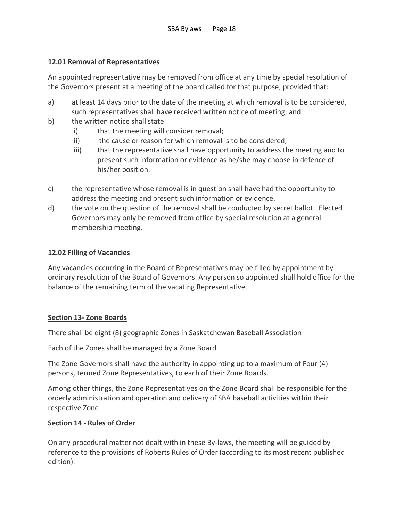# **12.01 Removal of Representatives**

An appointed representative may be removed from office at any time by special resolution of the Governors present at a meeting of the board called for that purpose; provided that:

- a) at least 14 days prior to the date of the meeting at which removal is to be considered, such representatives shall have received written notice of meeting; and
- b) the written notice shall state
	- i) that the meeting will consider removal;
	- ii) the cause or reason for which removal is to be considered;
	- iii) that the representative shall have opportunity to address the meeting and to present such information or evidence as he/she may choose in defence of his/her position.
- c) the representative whose removal is in question shall have had the opportunity to address the meeting and present such information or evidence.
- d) the vote on the question of the removal shall be conducted by secret ballot. Elected Governors may only be removed from office by special resolution at a general membership meeting.

# **12.02 Filling of Vacancies**

Any vacancies occurring in the Board of Representatives may be filled by appointment by ordinary resolution of the Board of Governors Any person so appointed shall hold office for the balance of the remaining term of the vacating Representative.

# **Section 13- Zone Boards**

There shall be eight (8) geographic Zones in Saskatchewan Baseball Association

Each of the Zones shall be managed by a Zone Board

The Zone Governors shall have the authority in appointing up to a maximum of Four (4) persons, termed Zone Representatives, to each of their Zone Boards.

Among other things, the Zone Representatives on the Zone Board shall be responsible for the orderly administration and operation and delivery of SBA baseball activities within their respective Zone

# **Section 14 - Rules of Order**

On any procedural matter not dealt with in these By-laws, the meeting will be guided by reference to the provisions of Roberts Rules of Order (according to its most recent published edition).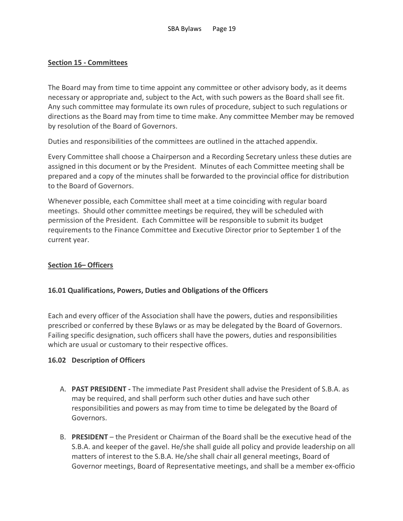# **Section 15 - Committees**

The Board may from time to time appoint any committee or other advisory body, as it deems necessary or appropriate and, subject to the Act, with such powers as the Board shall see fit. Any such committee may formulate its own rules of procedure, subject to such regulations or directions as the Board may from time to time make. Any committee Member may be removed by resolution of the Board of Governors.

Duties and responsibilities of the committees are outlined in the attached appendix.

Every Committee shall choose a Chairperson and a Recording Secretary unless these duties are assigned in this document or by the President. Minutes of each Committee meeting shall be prepared and a copy of the minutes shall be forwarded to the provincial office for distribution to the Board of Governors.

Whenever possible, each Committee shall meet at a time coinciding with regular board meetings. Should other committee meetings be required, they will be scheduled with permission of the President. Each Committee will be responsible to submit its budget requirements to the Finance Committee and Executive Director prior to September 1 of the current year.

# **Section 16– Officers**

# **16.01 Qualifications, Powers, Duties and Obligations of the Officers**

Each and every officer of the Association shall have the powers, duties and responsibilities prescribed or conferred by these Bylaws or as may be delegated by the Board of Governors. Failing specific designation, such officers shall have the powers, duties and responsibilities which are usual or customary to their respective offices.

# **16.02 Description of Officers**

- A. **PAST PRESIDENT -** The immediate Past President shall advise the President of S.B.A. as may be required, and shall perform such other duties and have such other responsibilities and powers as may from time to time be delegated by the Board of Governors.
- B. **PRESIDENT** the President or Chairman of the Board shall be the executive head of the S.B.A. and keeper of the gavel. He/she shall guide all policy and provide leadership on all matters of interest to the S.B.A. He/she shall chair all general meetings, Board of Governor meetings, Board of Representative meetings, and shall be a member ex-officio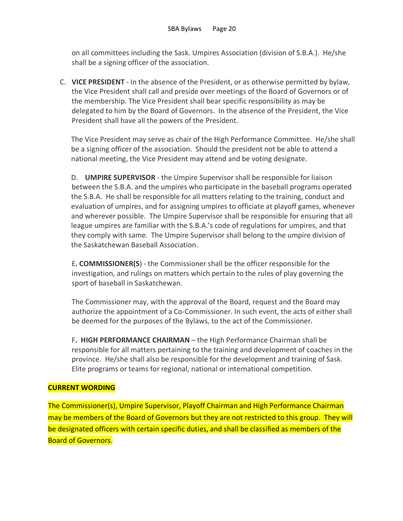on all committees including the Sask. Umpires Association (division of S.B.A.). He/she shall be a signing officer of the association.

C. **VICE PRESIDENT** - In the absence of the President, or as otherwise permitted by bylaw, the Vice President shall call and preside over meetings of the Board of Governors or of the membership. The Vice President shall bear specific responsibility as may be delegated to him by the Board of Governors. In the absence of the President, the Vice President shall have all the powers of the President.

The Vice President may serve as chair of the High Performance Committee. He/she shall be a signing officer of the association. Should the president not be able to attend a national meeting, the Vice President may attend and be voting designate.

D. **UMPIRE SUPERVISOR** - the Umpire Supervisor shall be responsible for liaison between the S.B.A. and the umpires who participate in the baseball programs operated the S.B.A. He shall be responsible for all matters relating to the training, conduct and evaluation of umpires, and for assigning umpires to officiate at playoff games, whenever and wherever possible. The Umpire Supervisor shall be responsible for ensuring that all league umpires are familiar with the S.B.A.'s code of regulations for umpires, and that they comply with same. The Umpire Supervisor shall belong to the umpire division of the Saskatchewan Baseball Association.

E**. COMMISSIONER(S**) - the Commissioner shall be the officer responsible for the investigation, and rulings on matters which pertain to the rules of play governing the sport of baseball in Saskatchewan.

The Commissioner may, with the approval of the Board, request and the Board may authorize the appointment of a Co-Commissioner. In such event, the acts of either shall be deemed for the purposes of the Bylaws, to the act of the Commissioner.

F**. HIGH PERFORMANCE CHAIRMAN** – the High Performance Chairman shall be responsible for all matters pertaining to the training and development of coaches in the province. He/she shall also be responsible for the development and training of Sask. Elite programs or teams for regional, national or international competition.

# **CURRENT WORDING**

The Commissioner(s), Umpire Supervisor, Playoff Chairman and High Performance Chairman may be members of the Board of Governors but they are not restricted to this group. They will be designated officers with certain specific duties, and shall be classified as members of the Board of Governors.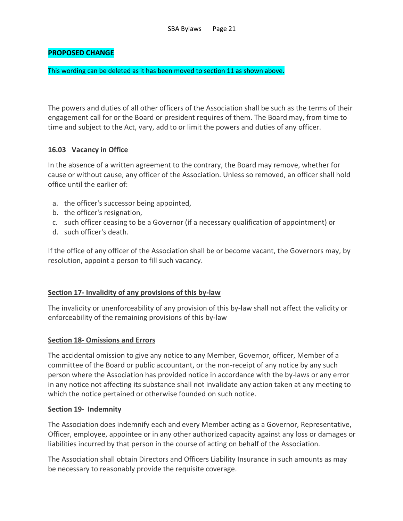# **PROPOSED CHANGE**

#### This wording can be deleted as it has been moved to section 11 as shown above.

The powers and duties of all other officers of the Association shall be such as the terms of their engagement call for or the Board or president requires of them. The Board may, from time to time and subject to the Act, vary, add to or limit the powers and duties of any officer.

# **16.03 Vacancy in Office**

In the absence of a written agreement to the contrary, the Board may remove, whether for cause or without cause, any officer of the Association. Unless so removed, an officer shall hold office until the earlier of:

- a. the officer's successor being appointed,
- b. the officer's resignation,
- c. such officer ceasing to be a Governor (if a necessary qualification of appointment) or
- d. such officer's death.

If the office of any officer of the Association shall be or become vacant, the Governors may, by resolution, appoint a person to fill such vacancy.

# **Section 17- Invalidity of any provisions of this by-law**

The invalidity or unenforceability of any provision of this by-law shall not affect the validity or enforceability of the remaining provisions of this by-law

# **Section 18- Omissions and Errors**

The accidental omission to give any notice to any Member, Governor, officer, Member of a committee of the Board or public accountant, or the non-receipt of any notice by any such person where the Association has provided notice in accordance with the by-laws or any error in any notice not affecting its substance shall not invalidate any action taken at any meeting to which the notice pertained or otherwise founded on such notice.

# **Section 19- Indemnity**

The Association does indemnify each and every Member acting as a Governor, Representative, Officer, employee, appointee or in any other authorized capacity against any loss or damages or liabilities incurred by that person in the course of acting on behalf of the Association.

The Association shall obtain Directors and Officers Liability Insurance in such amounts as may be necessary to reasonably provide the requisite coverage.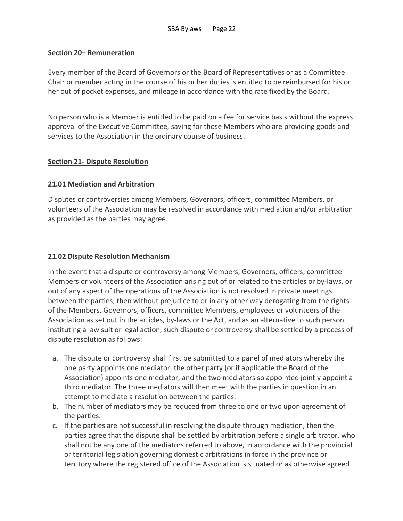# **Section 20– Remuneration**

Every member of the Board of Governors or the Board of Representatives or as a Committee Chair or member acting in the course of his or her duties is entitled to be reimbursed for his or her out of pocket expenses, and mileage in accordance with the rate fixed by the Board.

No person who is a Member is entitled to be paid on a fee for service basis without the express approval of the Executive Committee, saving for those Members who are providing goods and services to the Association in the ordinary course of business.

# **Section 21- Dispute Resolution**

# **21.01 Mediation and Arbitration**

Disputes or controversies among Members, Governors, officers, committee Members, or volunteers of the Association may be resolved in accordance with mediation and/or arbitration as provided as the parties may agree.

# **21.02 Dispute Resolution Mechanism**

In the event that a dispute or controversy among Members, Governors, officers, committee Members or volunteers of the Association arising out of or related to the articles or by-laws, or out of any aspect of the operations of the Association is not resolved in private meetings between the parties, then without prejudice to or in any other way derogating from the rights of the Members, Governors, officers, committee Members, employees or volunteers of the Association as set out in the articles, by-laws or the Act, and as an alternative to such person instituting a law suit or legal action, such dispute or controversy shall be settled by a process of dispute resolution as follows:

- a. The dispute or controversy shall first be submitted to a panel of mediators whereby the one party appoints one mediator, the other party (or if applicable the Board of the Association) appoints one mediator, and the two mediators so appointed jointly appoint a third mediator. The three mediators will then meet with the parties in question in an attempt to mediate a resolution between the parties.
- b. The number of mediators may be reduced from three to one or two upon agreement of the parties.
- c. If the parties are not successful in resolving the dispute through mediation, then the parties agree that the dispute shall be settled by arbitration before a single arbitrator, who shall not be any one of the mediators referred to above, in accordance with the provincial or territorial legislation governing domestic arbitrations in force in the province or territory where the registered office of the Association is situated or as otherwise agreed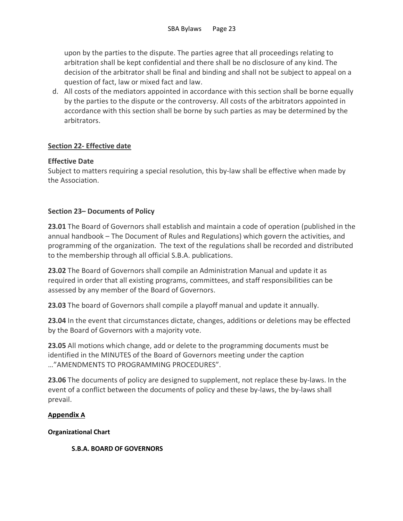upon by the parties to the dispute. The parties agree that all proceedings relating to arbitration shall be kept confidential and there shall be no disclosure of any kind. The decision of the arbitrator shall be final and binding and shall not be subject to appeal on a question of fact, law or mixed fact and law.

d. All costs of the mediators appointed in accordance with this section shall be borne equally by the parties to the dispute or the controversy. All costs of the arbitrators appointed in accordance with this section shall be borne by such parties as may be determined by the arbitrators.

# **Section 22- Effective date**

# **Effective Date**

Subject to matters requiring a special resolution, this by-law shall be effective when made by the Association.

# **Section 23– Documents of Policy**

**23.01** The Board of Governors shall establish and maintain a code of operation (published in the annual handbook – The Document of Rules and Regulations) which govern the activities, and programming of the organization. The text of the regulations shall be recorded and distributed to the membership through all official S.B.A. publications.

**23.02** The Board of Governors shall compile an Administration Manual and update it as required in order that all existing programs, committees, and staff responsibilities can be assessed by any member of the Board of Governors.

**23.03** The board of Governors shall compile a playoff manual and update it annually.

**23.04** In the event that circumstances dictate, changes, additions or deletions may be effected by the Board of Governors with a majority vote.

**23.05** All motions which change, add or delete to the programming documents must be identified in the MINUTES of the Board of Governors meeting under the caption …"AMENDMENTS TO PROGRAMMING PROCEDURES".

**23.06** The documents of policy are designed to supplement, not replace these by-laws. In the event of a conflict between the documents of policy and these by-laws, the by-laws shall prevail.

# **Appendix A**

**Organizational Chart**

**S.B.A. BOARD OF GOVERNORS**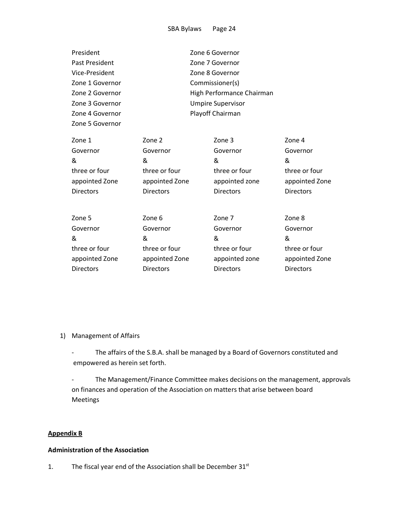| President        |                           |  | Zone 6 Governor  |                  |
|------------------|---------------------------|--|------------------|------------------|
| Past President   |                           |  | Zone 7 Governor  |                  |
| Vice-President   | Zone 8 Governor           |  |                  |                  |
| Zone 1 Governor  | Commissioner(s)           |  |                  |                  |
| Zone 2 Governor  | High Performance Chairman |  |                  |                  |
| Zone 3 Governor  | <b>Umpire Supervisor</b>  |  |                  |                  |
| Zone 4 Governor  | Playoff Chairman          |  |                  |                  |
| Zone 5 Governor  |                           |  |                  |                  |
| Zone 1           | Zone 2                    |  | Zone 3           | Zone 4           |
| Governor         | Governor                  |  | Governor         | Governor         |
| &                | &                         |  | &                | &                |
| three or four    | three or four             |  | three or four    | three or four    |
| appointed Zone   | appointed Zone            |  | appointed zone   | appointed Zone   |
| <b>Directors</b> | <b>Directors</b>          |  | <b>Directors</b> | <b>Directors</b> |
|                  |                           |  |                  |                  |
| Zone 5           | Zone 6                    |  | Zone 7           | Zone 8           |
| Governor         | Governor                  |  | Governor         | Governor         |
| &                | &                         |  | &                | &                |
| three or four    | three or four             |  | three or four    | three or four    |
| appointed Zone   | appointed Zone            |  | appointed zone   | appointed Zone   |
| <b>Directors</b> | <b>Directors</b>          |  | <b>Directors</b> | <b>Directors</b> |
|                  |                           |  |                  |                  |

1) Management of Affairs

- The affairs of the S.B.A. shall be managed by a Board of Governors constituted and empowered as herein set forth.

- The Management/Finance Committee makes decisions on the management, approvals on finances and operation of the Association on matters that arise between board Meetings

# **Appendix B**

#### **Administration of the Association**

1. The fiscal year end of the Association shall be December 31<sup>st</sup>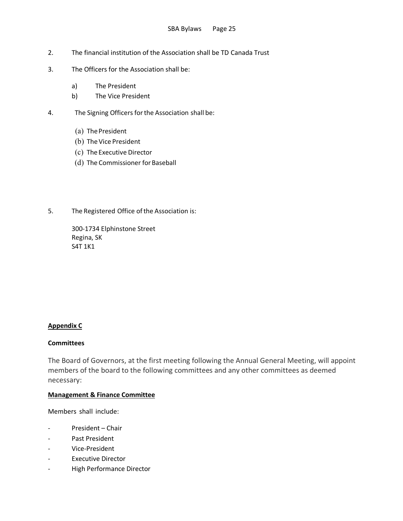- 2. The financial institution of the Association shall be TD Canada Trust
- 3. The Officers for the Association shall be:
	- a) The President
	- b) The Vice President
- 4. The Signing Officers for the Association shall be:
	- (a) ThePresident
	- (b) TheVice President
	- (c) The Executive Director
	- (d) The Commissioner for Baseball
- 5. The Registered Office of the Association is:

300-1734 Elphinstone Street Regina, SK S4T 1K1

#### **Appendix C**

#### **Committees**

The Board of Governors, at the first meeting following the Annual General Meeting, will appoint members of the board to the following committees and any other committees as deemed necessary:

#### **Management & Finance Committee**

Members shall include:

- President Chair
- Past President
- Vice-President
- Executive Director
- High Performance Director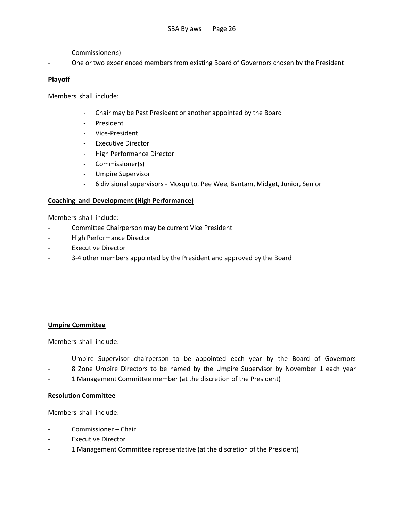- Commissioner(s)
- One or two experienced members from existing Board of Governors chosen by the President

# **Playoff**

Members shall include:

- Chair may be Past President or another appointed by the Board
- **-** President
- Vice-President
- **-** Executive Director
- High Performance Director
- **-** Commissioner(s)
- **-** Umpire Supervisor
- **-** 6 divisional supervisors Mosquito, Pee Wee, Bantam, Midget, Junior, Senior

#### **Coaching and Development (High Performance)**

Members shall include:

- Committee Chairperson may be current Vice President
- High Performance Director
- Executive Director
- 3-4 other members appointed by the President and approved by the Board

#### **Umpire Committee**

Members shall include:

- Umpire Supervisor chairperson to be appointed each year by the Board of Governors
- 8 Zone Umpire Directors to be named by the Umpire Supervisor by November 1 each year
- 1 Management Committee member (at the discretion of the President)

#### **Resolution Committee**

Members shall include:

- Commissioner Chair
- Executive Director
- 1 Management Committee representative (at the discretion of the President)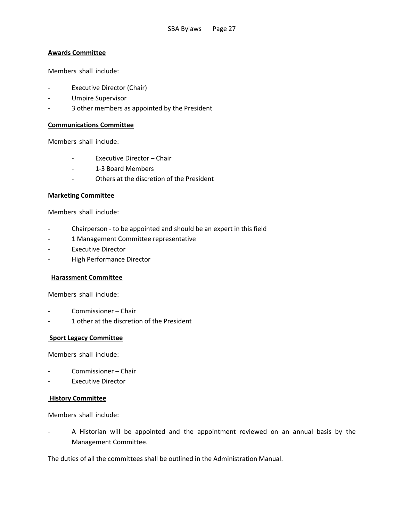#### **Awards Committee**

Members shall include:

- Executive Director (Chair)
- Umpire Supervisor
- 3 other members as appointed by the President

#### **Communications Committee**

Members shall include:

- Executive Director Chair
- 1-3 Board Members
- Others at the discretion of the President

#### **Marketing Committee**

Members shall include:

- Chairperson to be appointed and should be an expert in this field
- 1 Management Committee representative
- Executive Director
- High Performance Director

#### **Harassment Committee**

Members shall include:

- Commissioner Chair
- 1 other at the discretion of the President

#### **Sport Legacy Committee**

Members shall include:

- Commissioner Chair
- Executive Director

#### **History Committee**

Members shall include:

A Historian will be appointed and the appointment reviewed on an annual basis by the Management Committee.

The duties of all the committees shall be outlined in the Administration Manual.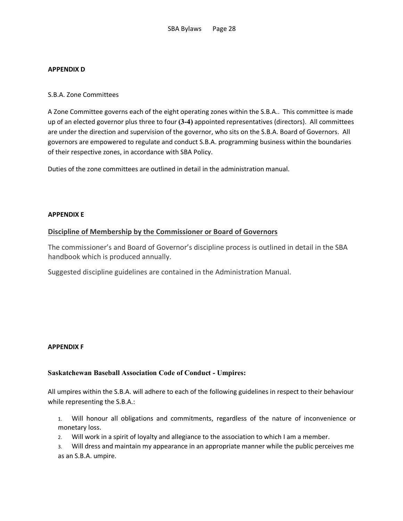#### **APPENDIX D**

#### S.B.A. Zone Committees

A Zone Committee governs each of the eight operating zones within the S.B.A.. This committee is made up of an elected governor plus three to four **(3-4)** appointed representatives (directors). All committees are under the direction and supervision of the governor, who sits on the S.B.A. Board of Governors. All governors are empowered to regulate and conduct S.B.A. programming business within the boundaries of their respective zones, in accordance with SBA Policy.

Duties of the zone committees are outlined in detail in the administration manual.

#### **APPENDIX E**

# **Discipline of Membership by the Commissioner or Board of Governors**

The commissioner's and Board of Governor's discipline process is outlined in detail in the SBA handbook which is produced annually.

Suggested discipline guidelines are contained in the Administration Manual.

#### **APPENDIX F**

#### **Saskatchewan Baseball Association Code of Conduct - Umpires:**

All umpires within the S.B.A. will adhere to each of the following guidelines in respect to their behaviour while representing the S.B.A.:

1. Will honour all obligations and commitments, regardless of the nature of inconvenience or monetary loss.

2. Will work in a spirit of loyalty and allegiance to the association to which I am a member.

3. Will dress and maintain my appearance in an appropriate manner while the public perceives me as an S.B.A. umpire.